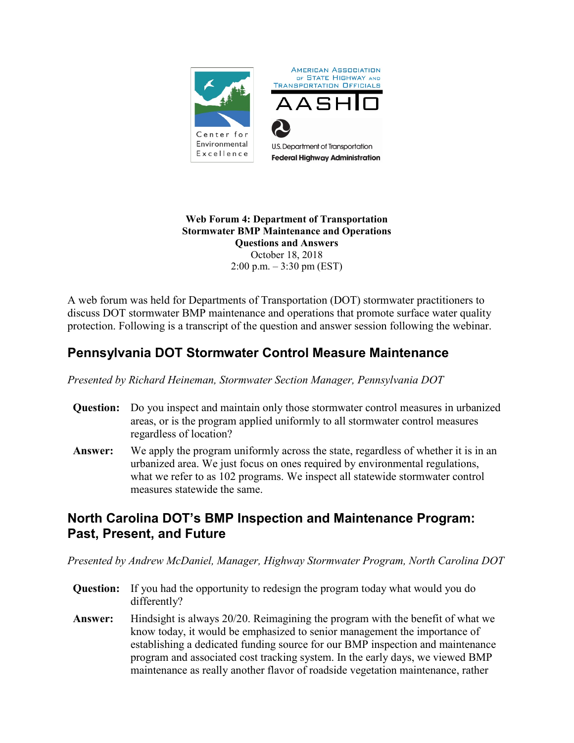

#### **Web Forum 4: Department of Transportation Stormwater BMP Maintenance and Operations Questions and Answers** October 18, 2018 2:00 p.m. – 3:30 pm (EST)

A web forum was held for Departments of Transportation (DOT) stormwater practitioners to discuss DOT stormwater BMP maintenance and operations that promote surface water quality protection. Following is a transcript of the question and answer session following the webinar.

# **Pennsylvania DOT Stormwater Control Measure Maintenance**

*Presented by Richard Heineman, Stormwater Section Manager, Pennsylvania DOT*

- **Question:** Do you inspect and maintain only those stormwater control measures in urbanized areas, or is the program applied uniformly to all stormwater control measures regardless of location?
- **Answer:** We apply the program uniformly across the state, regardless of whether it is in an urbanized area. We just focus on ones required by environmental regulations, what we refer to as 102 programs. We inspect all statewide stormwater control measures statewide the same.

## **North Carolina DOT's BMP Inspection and Maintenance Program: Past, Present, and Future**

*Presented by Andrew McDaniel, Manager, Highway Stormwater Program, North Carolina DOT*

- **Question:** If you had the opportunity to redesign the program today what would you do differently?
- **Answer:** Hindsight is always 20/20. Reimagining the program with the benefit of what we know today, it would be emphasized to senior management the importance of establishing a dedicated funding source for our BMP inspection and maintenance program and associated cost tracking system. In the early days, we viewed BMP maintenance as really another flavor of roadside vegetation maintenance, rather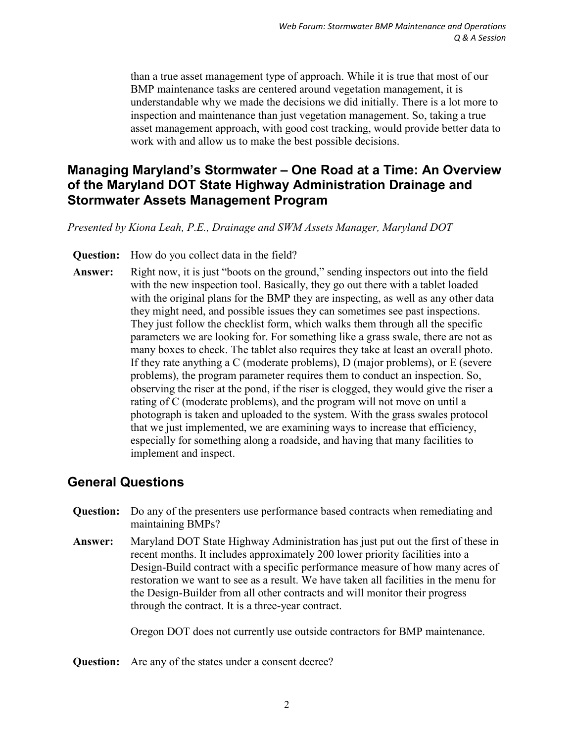than a true asset management type of approach. While it is true that most of our BMP maintenance tasks are centered around vegetation management, it is understandable why we made the decisions we did initially. There is a lot more to inspection and maintenance than just vegetation management. So, taking a true asset management approach, with good cost tracking, would provide better data to work with and allow us to make the best possible decisions.

## **Managing Maryland's Stormwater – One Road at a Time: An Overview of the Maryland DOT State Highway Administration Drainage and Stormwater Assets Management Program**

*Presented by Kiona Leah, P.E., Drainage and SWM Assets Manager, Maryland DOT*

**Question:** How do you collect data in the field?

**Answer:** Right now, it is just "boots on the ground," sending inspectors out into the field with the new inspection tool. Basically, they go out there with a tablet loaded with the original plans for the BMP they are inspecting, as well as any other data they might need, and possible issues they can sometimes see past inspections. They just follow the checklist form, which walks them through all the specific parameters we are looking for. For something like a grass swale, there are not as many boxes to check. The tablet also requires they take at least an overall photo. If they rate anything a C (moderate problems), D (major problems), or E (severe problems), the program parameter requires them to conduct an inspection. So, observing the riser at the pond, if the riser is clogged, they would give the riser a rating of C (moderate problems), and the program will not move on until a photograph is taken and uploaded to the system. With the grass swales protocol that we just implemented, we are examining ways to increase that efficiency, especially for something along a roadside, and having that many facilities to implement and inspect.

#### **General Questions**

- **Question:** Do any of the presenters use performance based contracts when remediating and maintaining BMPs?
- **Answer:** Maryland DOT State Highway Administration has just put out the first of these in recent months. It includes approximately 200 lower priority facilities into a Design-Build contract with a specific performance measure of how many acres of restoration we want to see as a result. We have taken all facilities in the menu for the Design-Builder from all other contracts and will monitor their progress through the contract. It is a three-year contract.

Oregon DOT does not currently use outside contractors for BMP maintenance.

**Question:** Are any of the states under a consent decree?